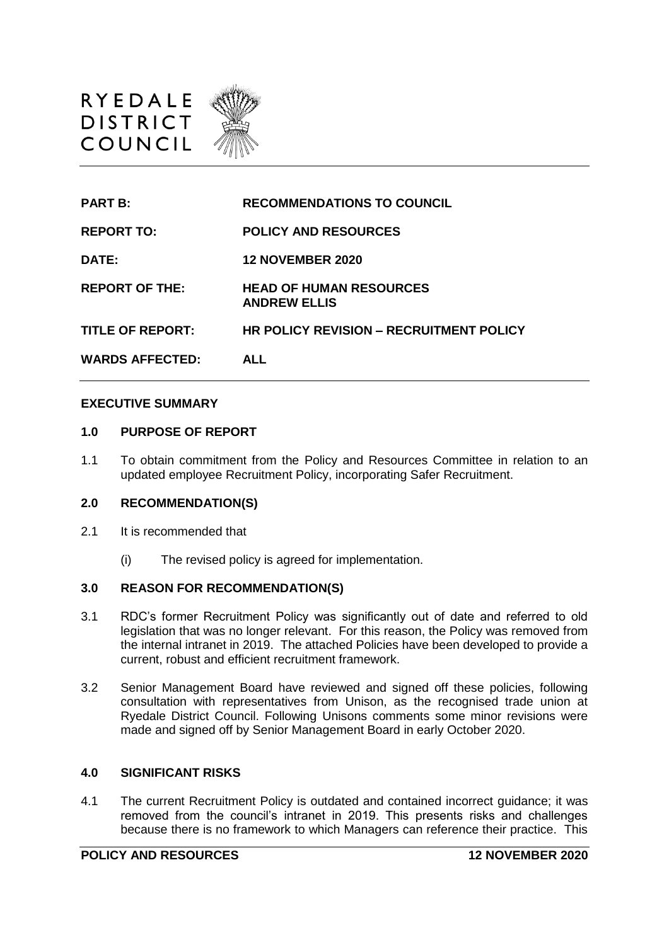

| <b>PART B:</b>          | <b>RECOMMENDATIONS TO COUNCIL</b>                     |
|-------------------------|-------------------------------------------------------|
| <b>REPORT TO:</b>       | <b>POLICY AND RESOURCES</b>                           |
| DATE:                   | <b>12 NOVEMBER 2020</b>                               |
| <b>REPORT OF THE:</b>   | <b>HEAD OF HUMAN RESOURCES</b><br><b>ANDREW ELLIS</b> |
| <b>TITLE OF REPORT:</b> | <b>HR POLICY REVISION – RECRUITMENT POLICY</b>        |
| <b>WARDS AFFECTED:</b>  | AI I                                                  |

### **EXECUTIVE SUMMARY**

#### **1.0 PURPOSE OF REPORT**

1.1 To obtain commitment from the Policy and Resources Committee in relation to an updated employee Recruitment Policy, incorporating Safer Recruitment.

# **2.0 RECOMMENDATION(S)**

- 2.1 It is recommended that
	- (i) The revised policy is agreed for implementation.

### **3.0 REASON FOR RECOMMENDATION(S)**

- 3.1 RDC's former Recruitment Policy was significantly out of date and referred to old legislation that was no longer relevant. For this reason, the Policy was removed from the internal intranet in 2019. The attached Policies have been developed to provide a current, robust and efficient recruitment framework.
- 3.2 Senior Management Board have reviewed and signed off these policies, following consultation with representatives from Unison, as the recognised trade union at Ryedale District Council. Following Unisons comments some minor revisions were made and signed off by Senior Management Board in early October 2020.

#### **4.0 SIGNIFICANT RISKS**

4.1 The current Recruitment Policy is outdated and contained incorrect guidance; it was removed from the council's intranet in 2019. This presents risks and challenges because there is no framework to which Managers can reference their practice. This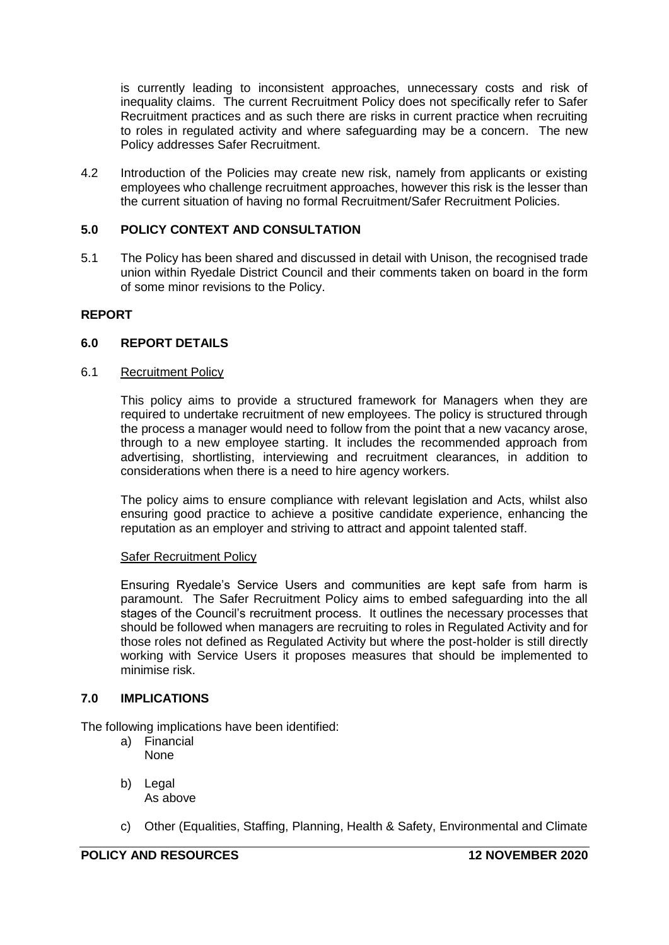is currently leading to inconsistent approaches, unnecessary costs and risk of inequality claims. The current Recruitment Policy does not specifically refer to Safer Recruitment practices and as such there are risks in current practice when recruiting to roles in regulated activity and where safeguarding may be a concern. The new Policy addresses Safer Recruitment.

4.2 Introduction of the Policies may create new risk, namely from applicants or existing employees who challenge recruitment approaches, however this risk is the lesser than the current situation of having no formal Recruitment/Safer Recruitment Policies.

# **5.0 POLICY CONTEXT AND CONSULTATION**

5.1 The Policy has been shared and discussed in detail with Unison, the recognised trade union within Ryedale District Council and their comments taken on board in the form of some minor revisions to the Policy.

# **REPORT**

# **6.0 REPORT DETAILS**

# 6.1 Recruitment Policy

This policy aims to provide a structured framework for Managers when they are required to undertake recruitment of new employees. The policy is structured through the process a manager would need to follow from the point that a new vacancy arose, through to a new employee starting. It includes the recommended approach from advertising, shortlisting, interviewing and recruitment clearances, in addition to considerations when there is a need to hire agency workers.

The policy aims to ensure compliance with relevant legislation and Acts, whilst also ensuring good practice to achieve a positive candidate experience, enhancing the reputation as an employer and striving to attract and appoint talented staff.

#### Safer Recruitment Policy

Ensuring Ryedale's Service Users and communities are kept safe from harm is paramount. The Safer Recruitment Policy aims to embed safeguarding into the all stages of the Council's recruitment process. It outlines the necessary processes that should be followed when managers are recruiting to roles in Regulated Activity and for those roles not defined as Regulated Activity but where the post-holder is still directly working with Service Users it proposes measures that should be implemented to minimise risk.

# **7.0 IMPLICATIONS**

The following implications have been identified:

- a) Financial None
- b) Legal As above
- c) Other (Equalities, Staffing, Planning, Health & Safety, Environmental and Climate